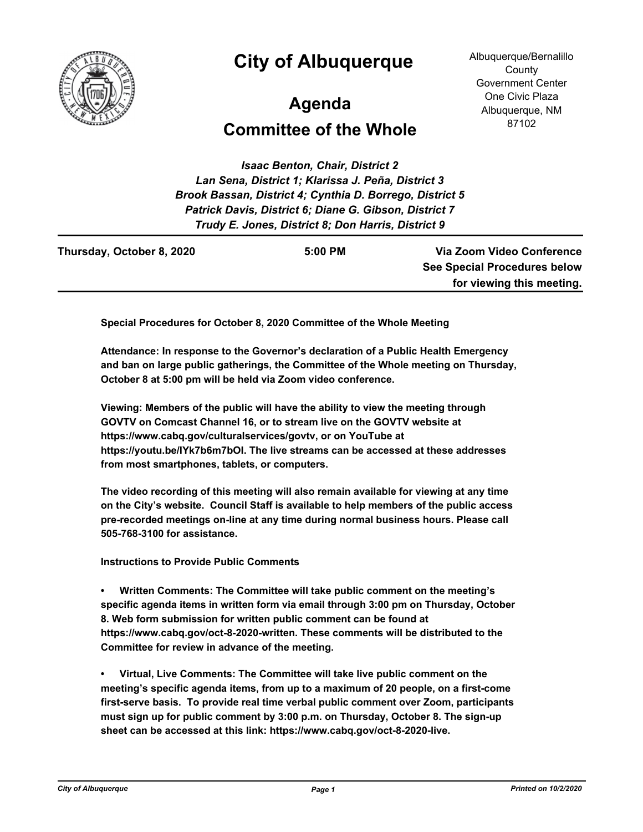

## **City of Albuquerque**

Albuquerque/Bernalillo **County** Government Center One Civic Plaza Albuquerque, NM 87102

## **Agenda**

## **Committee of the Whole**

*Isaac Benton, Chair, District 2 Lan Sena, District 1; Klarissa J. Peña, District 3 Brook Bassan, District 4; Cynthia D. Borrego, District 5 Patrick Davis, District 6; Diane G. Gibson, District 7 Trudy E. Jones, District 8; Don Harris, District 9*

| Thursday, October 8, 2020 | $5:00$ PM | Via Zoom Video Conference           |
|---------------------------|-----------|-------------------------------------|
|                           |           | <b>See Special Procedures below</b> |
|                           |           | for viewing this meeting.           |
|                           |           |                                     |

**Special Procedures for October 8, 2020 Committee of the Whole Meeting**

**Attendance: In response to the Governor's declaration of a Public Health Emergency and ban on large public gatherings, the Committee of the Whole meeting on Thursday, October 8 at 5:00 pm will be held via Zoom video conference.**

**Viewing: Members of the public will have the ability to view the meeting through GOVTV on Comcast Channel 16, or to stream live on the GOVTV website at https://www.cabq.gov/culturalservices/govtv, or on YouTube at https://youtu.be/IYk7b6m7bOI. The live streams can be accessed at these addresses from most smartphones, tablets, or computers.**

**The video recording of this meeting will also remain available for viewing at any time on the City's website. Council Staff is available to help members of the public access pre-recorded meetings on-line at any time during normal business hours. Please call 505-768-3100 for assistance.**

**Instructions to Provide Public Comments**

**• Written Comments: The Committee will take public comment on the meeting's specific agenda items in written form via email through 3:00 pm on Thursday, October 8. Web form submission for written public comment can be found at https://www.cabq.gov/oct-8-2020-written. These comments will be distributed to the Committee for review in advance of the meeting.**

**• Virtual, Live Comments: The Committee will take live public comment on the meeting's specific agenda items, from up to a maximum of 20 people, on a first-come first-serve basis. To provide real time verbal public comment over Zoom, participants must sign up for public comment by 3:00 p.m. on Thursday, October 8. The sign-up sheet can be accessed at this link: https://www.cabq.gov/oct-8-2020-live.**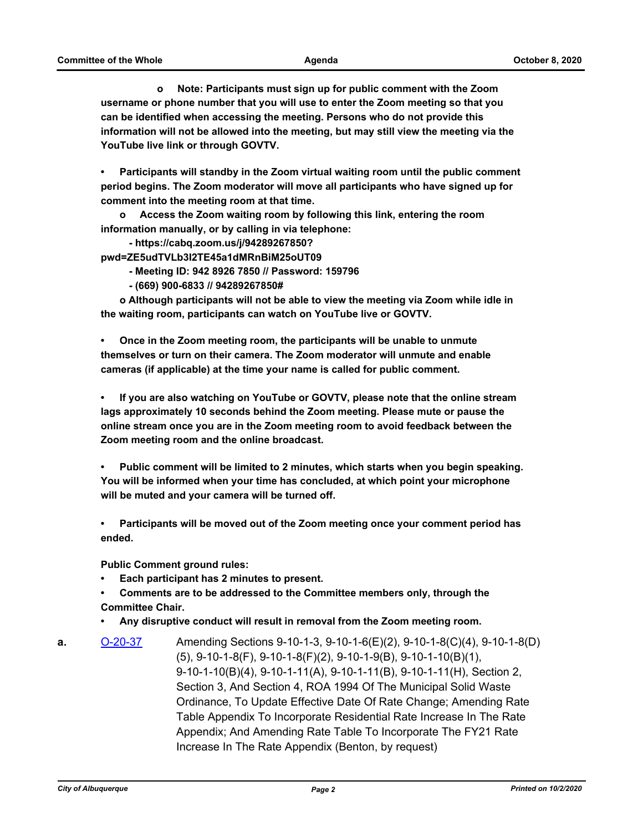**o Note: Participants must sign up for public comment with the Zoom username or phone number that you will use to enter the Zoom meeting so that you can be identified when accessing the meeting. Persons who do not provide this information will not be allowed into the meeting, but may still view the meeting via the YouTube live link or through GOVTV.**

**• Participants will standby in the Zoom virtual waiting room until the public comment period begins. The Zoom moderator will move all participants who have signed up for comment into the meeting room at that time.** 

**o Access the Zoom waiting room by following this link, entering the room information manually, or by calling in via telephone:** 

 **- https://cabq.zoom.us/j/94289267850? pwd=ZE5udTVLb3I2TE45a1dMRnBiM25oUT09** 

 **- Meeting ID: 942 8926 7850 // Password: 159796**

 **- (669) 900-6833 // 94289267850#**

**o Although participants will not be able to view the meeting via Zoom while idle in the waiting room, participants can watch on YouTube live or GOVTV.**

**• Once in the Zoom meeting room, the participants will be unable to unmute themselves or turn on their camera. The Zoom moderator will unmute and enable cameras (if applicable) at the time your name is called for public comment.**

**• If you are also watching on YouTube or GOVTV, please note that the online stream lags approximately 10 seconds behind the Zoom meeting. Please mute or pause the online stream once you are in the Zoom meeting room to avoid feedback between the Zoom meeting room and the online broadcast.**

**• Public comment will be limited to 2 minutes, which starts when you begin speaking. You will be informed when your time has concluded, at which point your microphone will be muted and your camera will be turned off.**

**• Participants will be moved out of the Zoom meeting once your comment period has ended.**

**Public Comment ground rules:**

**• Each participant has 2 minutes to present.**

**• Comments are to be addressed to the Committee members only, through the Committee Chair.**

**• Any disruptive conduct will result in removal from the Zoom meeting room.**

**a.** [O-20-37](http://cabq.legistar.com/gateway.aspx?m=l&id=/matter.aspx?key=12172) Amending Sections 9-10-1-3, 9-10-1-6(E)(2), 9-10-1-8(C)(4), 9-10-1-8(D) (5), 9-10-1-8(F), 9-10-1-8(F)(2), 9-10-1-9(B), 9-10-1-10(B)(1), 9-10-1-10(B)(4), 9-10-1-11(A), 9-10-1-11(B), 9-10-1-11(H), Section 2, Section 3, And Section 4, ROA 1994 Of The Municipal Solid Waste Ordinance, To Update Effective Date Of Rate Change; Amending Rate Table Appendix To Incorporate Residential Rate Increase In The Rate Appendix; And Amending Rate Table To Incorporate The FY21 Rate Increase In The Rate Appendix (Benton, by request)